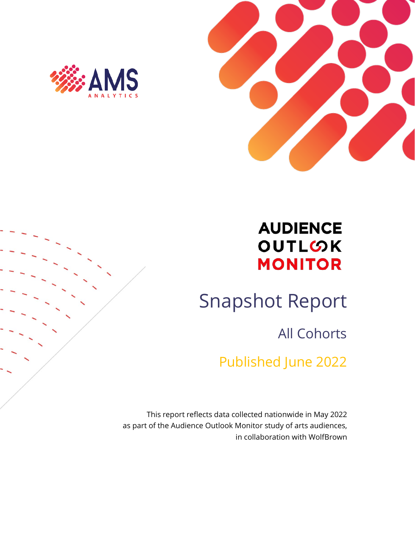



## **AUDIENCE** OUTLOK **MONITOR**

# Snapshot Report

All Cohorts

Published June 2022

This report reflects data collected nationwide in May 2022 as part of the Audience Outlook Monitor study of arts audiences, in collaboration with WolfBrown

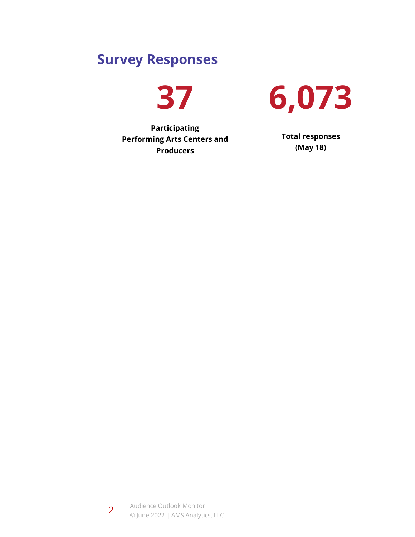## **Survey Responses**

**37**

**Participating Performing Arts Centers and Producers**



**Total responses (May 18)**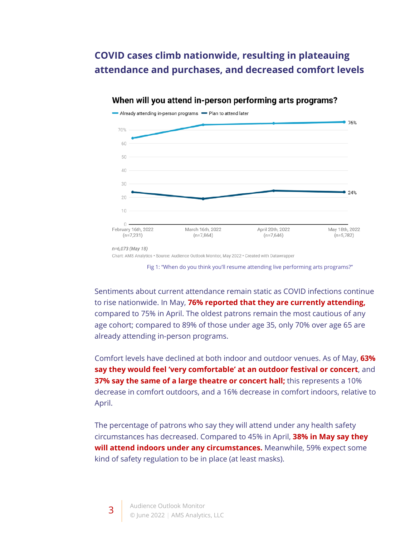### **COVID cases climb nationwide, resulting in plateauing attendance and purchases, and decreased comfort levels**



#### When will you attend in-person performing arts programs?

Fig 1: "When do you think you'll resume attending live performing arts programs?"

Sentiments about current attendance remain static as COVID infections continue to rise nationwide. In May, **76% reported that they are currently attending,**  compared to 75% in April. The oldest patrons remain the most cautious of any age cohort; compared to 89% of those under age 35, only 70% over age 65 are already attending in-person programs.

Comfort levels have declined at both indoor and outdoor venues. As of May, **63% say they would feel 'very comfortable' at an outdoor festival or concert**, and **37% say the same of a large theatre or concert hall;** this represents a 10% decrease in comfort outdoors, and a 16% decrease in comfort indoors, relative to April.

The percentage of patrons who say they will attend under any health safety circumstances has decreased. Compared to 45% in April, **38% in May say they will attend indoors under any circumstances.** Meanwhile, 59% expect some kind of safety regulation to be in place (at least masks).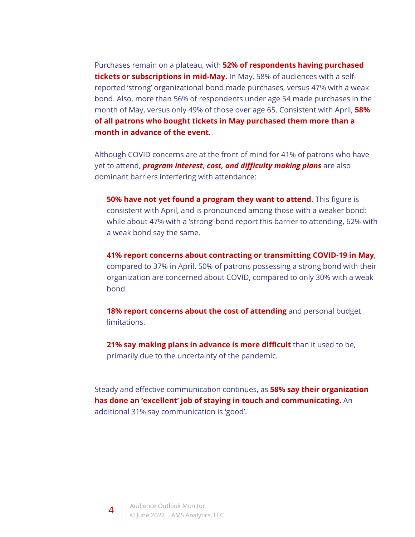Purchases remain on a plateau, with **52% of respondents having purchased tickets or subscriptions in mid-May.** In May, 58% of audiences with a selfreported 'strong' organizational bond made purchases, versus 47% with a weak bond. Also, more than 56% of respondents under age 54 made purchases in the month of May, versus only 49% of those over age 65. Consistent with April, **58% of all patrons who bought tickets in May purchased them more than a month in advance of the event.**

Although COVID concerns are at the front of mind for 41% of patrons who have yet to attend, *program interest, cost, and difficulty making plans* are also dominant barriers interfering with attendance:

**50% have not yet found a program they want to attend.** This figure is consistent with April, and is pronounced among those with a weaker bond: while about 47% with a 'strong' bond report this barrier to attending, 62% with a weak bond say the same.

**41% report concerns about contracting or transmitting COVID-19 in May**, compared to 37% in April. 50% of patrons possessing a strong bond with their organization are concerned about COVID, compared to only 30% with a weak bond.

18% report concerns about the cost of attending and personal budget limitations.

**21% say making plans in advance is more difficult** than it used to be, primarily due to the uncertainty of the pandemic.

Steady and effective communication continues, as **58% say their organization has done an 'excellent' job of staying in touch and communicating.** An additional 31% say communication is 'good'.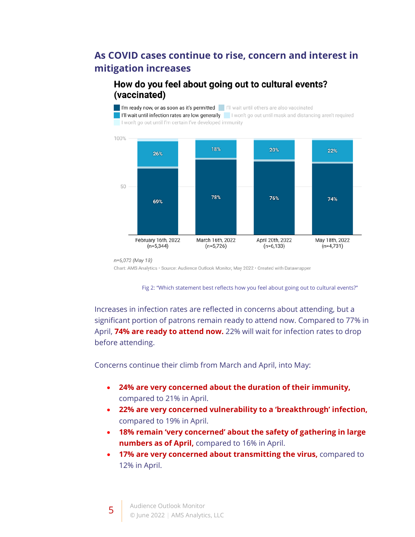### **As COVID cases continue to rise, concern and interest in mitigation increases**

#### How do you feel about going out to cultural events? (vaccinated)

I'm ready now, or as soon as it's permitted | | |'|| wait until others are also vaccinated I I'll wait until infection rates are low generally I won't go out until mask and distancing aren't required I won't go out until I'm certain I've developed immunity



n=6,073 (May 18)

Chart: AMS Analytics · Source: Audience Outlook Monitor, May 2022 · Created with Datawrapper

Fig 2: "Which statement best reflects how you feel about going out to cultural events?"

Increases in infection rates are reflected in concerns about attending, but a significant portion of patrons remain ready to attend now. Compared to 77% in April, **74% are ready to attend now.** 22% will wait for infection rates to drop before attending.

Concerns continue their climb from March and April, into May:

- **24% are very concerned about the duration of their immunity,**  compared to 21% in April.
- **22% are very concerned vulnerability to a 'breakthrough' infection,**  compared to 19% in April.
- **18% remain 'very concerned' about the safety of gathering in large numbers as of April,** compared to 16% in April.
- **17% are very concerned about transmitting the virus,** compared to 12% in April.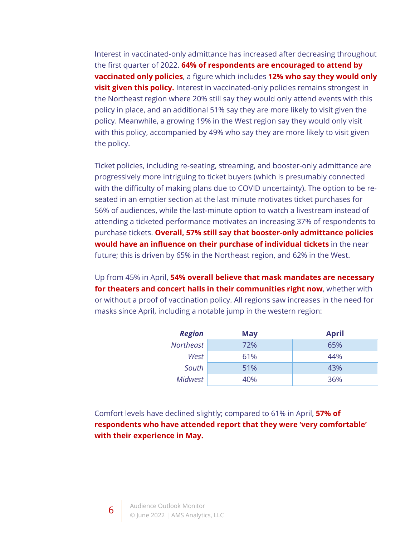Interest in vaccinated-only admittance has increased after decreasing throughout the first quarter of 2022. **64% of respondents are encouraged to attend by vaccinated only policies**, a figure which includes **12% who say they would only visit given this policy.** Interest in vaccinated-only policies remains strongest in the Northeast region where 20% still say they would only attend events with this policy in place, and an additional 51% say they are more likely to visit given the policy. Meanwhile, a growing 19% in the West region say they would only visit with this policy, accompanied by 49% who say they are more likely to visit given the policy.

Ticket policies, including re-seating, streaming, and booster-only admittance are progressively more intriguing to ticket buyers (which is presumably connected with the difficulty of making plans due to COVID uncertainty). The option to be reseated in an emptier section at the last minute motivates ticket purchases for 56% of audiences, while the last-minute option to watch a livestream instead of attending a ticketed performance motivates an increasing 37% of respondents to purchase tickets. **Overall, 57% still say that booster-only admittance policies would have an influence on their purchase of individual tickets** in the near future; this is driven by 65% in the Northeast region, and 62% in the West.

Up from 45% in April, **54% overall believe that mask mandates are necessary for theaters and concert halls in their communities right now**, whether with or without a proof of vaccination policy. All regions saw increases in the need for masks since April, including a notable jump in the western region:

| <b>Region</b> | <b>May</b> | <b>April</b> |
|---------------|------------|--------------|
| Northeast     | 72%        | 65%          |
| West          | 61%        | 44%          |
| South         | 51%        | 43%          |
| Midwest       | 40%        | 36%          |

Comfort levels have declined slightly; compared to 61% in April, **57% of respondents who have attended report that they were 'very comfortable' with their experience in May.**